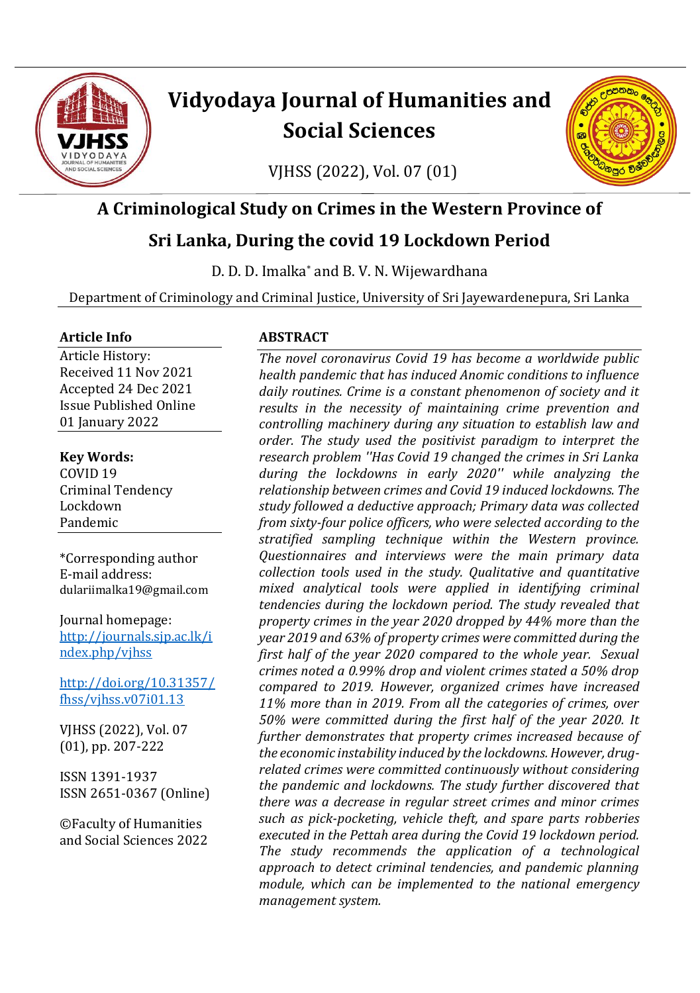

# **Vidyodaya Journal of Humanities and Social Sciences**

VJHSS (2022), Vol. 07 (01)



# **A Criminological Study on Crimes in the Western Province of**

# **Sri Lanka, During the covid 19 Lockdown Period**

D. D. D. Imalka\* and B. V. N. Wijewardhana

Department of Criminology and Criminal Justice, University of Sri Jayewardenepura, Sri Lanka

#### **Article Info**

Article History: Received 11 Nov 2021 Accepted 24 Dec 2021 Issue Published Online 01 January 2022

**Key Words:** COVID 19 Criminal Tendency Lockdown Pandemic

\*Corresponding author E-mail address: dulariimalka19@gmail.com

Journal homepage: [http://journals.sjp.ac.lk/i](http://journals.sjp.ac.lk/index.php/vjhss) [ndex.php/vjhss](http://journals.sjp.ac.lk/index.php/vjhss)

[http://doi.org/10.31357/](http://doi.org/10.31357/fhss/vjhss.v07i01.13) [fhss/vjhss.v07i01.13](http://doi.org/10.31357/fhss/vjhss.v07i01.13)

VJHSS (2022), Vol. 07 (01), pp. 207-222

ISSN 1391-1937 ISSN 2651-0367 (Online)

©Faculty of Humanities and Social Sciences 2022

#### **ABSTRACT**

*The novel coronavirus Covid 19 has become a worldwide public health pandemic that has induced Anomic conditions to influence daily routines. Crime is a constant phenomenon of society and it results in the necessity of maintaining crime prevention and controlling machinery during any situation to establish law and order. The study used the positivist paradigm to interpret the research problem ''Has Covid 19 changed the crimes in Sri Lanka during the lockdowns in early 2020'' while analyzing the relationship between crimes and Covid 19 induced lockdowns. The study followed a deductive approach; Primary data was collected from sixty-four police officers, who were selected according to the stratified sampling technique within the Western province. Questionnaires and interviews were the main primary data collection tools used in the study. Qualitative and quantitative mixed analytical tools were applied in identifying criminal tendencies during the lockdown period. The study revealed that property crimes in the year 2020 dropped by 44% more than the year 2019 and 63% of property crimes were committed during the first half of the year 2020 compared to the whole year. Sexual crimes noted a 0.99% drop and violent crimes stated a 50% drop compared to 2019. However, organized crimes have increased 11% more than in 2019. From all the categories of crimes, over 50% were committed during the first half of the year 2020. It further demonstrates that property crimes increased because of the economic instability induced by the lockdowns. However, drugrelated crimes were committed continuously without considering the pandemic and lockdowns. The study further discovered that there was a decrease in regular street crimes and minor crimes such as pick-pocketing, vehicle theft, and spare parts robberies executed in the Pettah area during the Covid 19 lockdown period. The study recommends the application of a technological approach to detect criminal tendencies, and pandemic planning module, which can be implemented to the national emergency management system.*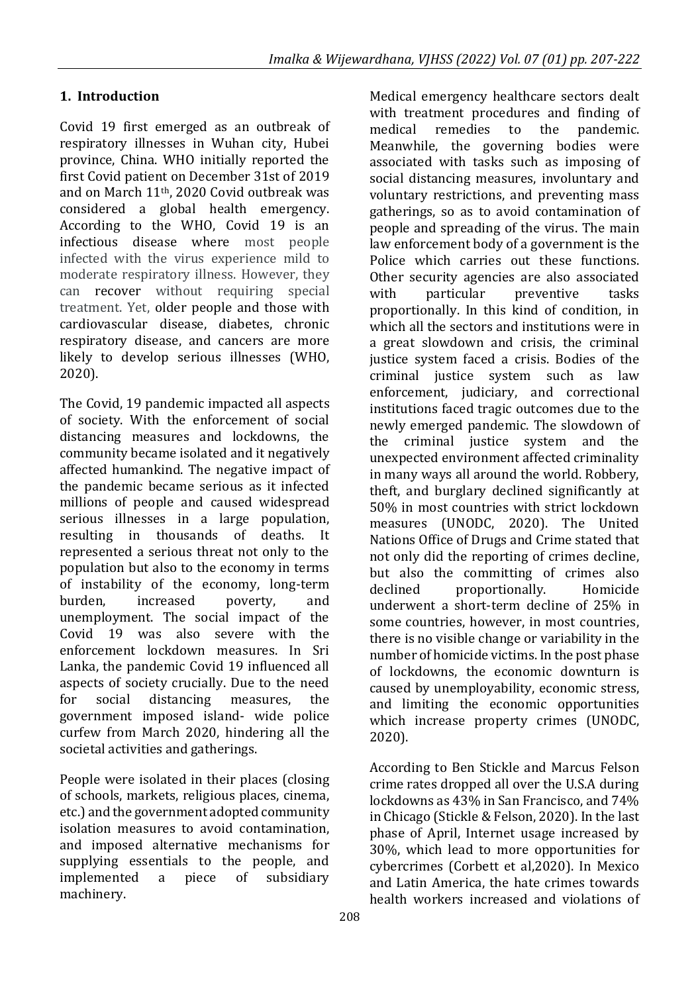# **1. Introduction**

Covid 19 first emerged as an outbreak of respiratory illnesses in Wuhan city, Hubei province, China. WHO initially reported the first Covid patient on December 31st of 2019 and on March 11th, 2020 Covid outbreak was considered a global health emergency. According to the WHO, Covid 19 is an infectious disease where most people infected with the virus experience mild to moderate respiratory illness. However, they can recover without requiring special treatment. Yet, older people and those with cardiovascular disease, diabetes, chronic respiratory disease, and cancers are more likely to develop serious illnesses (WHO, 2020).

The Covid, 19 pandemic impacted all aspects of society. With the enforcement of social distancing measures and lockdowns, the community became isolated and it negatively affected humankind. The negative impact of the pandemic became serious as it infected millions of people and caused widespread serious illnesses in a large population, resulting in thousands of deaths. It represented a serious threat not only to the population but also to the economy in terms of instability of the economy, long-term burden, increased poverty, and unemployment. The social impact of the Covid 19 was also severe with the enforcement lockdown measures. In Sri Lanka, the pandemic Covid 19 influenced all aspects of society crucially. Due to the need for social distancing measures, the government imposed island- wide police curfew from March 2020, hindering all the societal activities and gatherings.

People were isolated in their places (closing of schools, markets, religious places, cinema, etc.) and the government adopted community isolation measures to avoid contamination, and imposed alternative mechanisms for supplying essentials to the people, and implemented a piece of subsidiary machinery.

Medical emergency healthcare sectors dealt with treatment procedures and finding of medical remedies to the pandemic. Meanwhile, the governing bodies were associated with tasks such as imposing of social distancing measures, involuntary and voluntary restrictions, and preventing mass gatherings, so as to avoid contamination of people and spreading of the virus. The main law enforcement body of a government is the Police which carries out these functions. Other security agencies are also associated with particular preventive tasks proportionally. In this kind of condition, in which all the sectors and institutions were in a great slowdown and crisis, the criminal justice system faced a crisis. Bodies of the criminal justice system such as law enforcement, judiciary, and correctional institutions faced tragic outcomes due to the newly emerged pandemic. The slowdown of the criminal justice system and the unexpected environment affected criminality in many ways all around the world. Robbery, theft, and burglary declined significantly at 50% in most countries with strict lockdown measures (UNODC, 2020). The United Nations Office of Drugs and Crime stated that not only did the reporting of crimes decline, but also the committing of crimes also declined proportionally. Homicide underwent a short-term decline of 25% in some countries, however, in most countries, there is no visible change or variability in the number of homicide victims. In the post phase of lockdowns, the economic downturn is caused by unemployability, economic stress, and limiting the economic opportunities which increase property crimes (UNODC, 2020).

According to Ben Stickle and Marcus Felson crime rates dropped all over the U.S.A during lockdowns as 43% in San Francisco, and 74% in Chicago (Stickle & Felson, 2020). In the last phase of April, Internet usage increased by 30%, which lead to more opportunities for cybercrimes (Corbett et al,2020). In Mexico and Latin America, the hate crimes towards health workers increased and violations of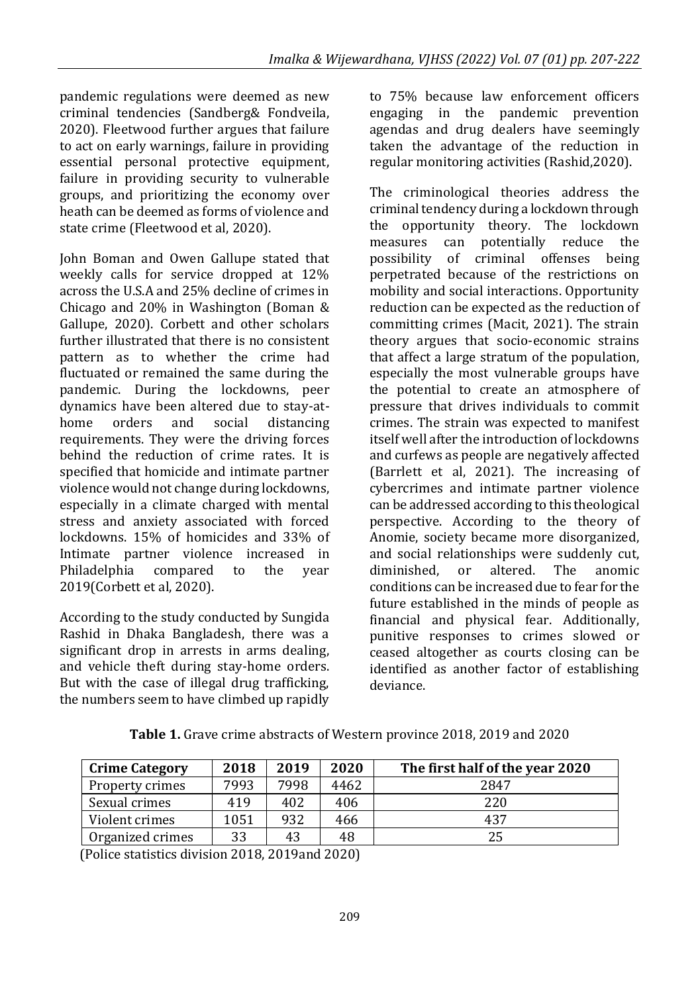pandemic regulations were deemed as new criminal tendencies (Sandberg& Fondveila, 2020). Fleetwood further argues that failure to act on early warnings, failure in providing essential personal protective equipment, failure in providing security to vulnerable groups, and prioritizing the economy over heath can be deemed as forms of violence and state crime (Fleetwood et al, 2020).

John Boman and Owen Gallupe stated that weekly calls for service dropped at 12% across the U.S.A and 25% decline of crimes in Chicago and 20% in Washington (Boman & Gallupe, 2020). Corbett and other scholars further illustrated that there is no consistent pattern as to whether the crime had fluctuated or remained the same during the pandemic. During the lockdowns, peer dynamics have been altered due to stay-athome orders and social distancing requirements. They were the driving forces behind the reduction of crime rates. It is specified that homicide and intimate partner violence would not change during lockdowns, especially in a climate charged with mental stress and anxiety associated with forced lockdowns. 15% of homicides and 33% of Intimate partner violence increased in Philadelphia compared to the year 2019(Corbett et al, 2020).

According to the study conducted by Sungida Rashid in Dhaka Bangladesh, there was a significant drop in arrests in arms dealing, and vehicle theft during stay-home orders. But with the case of illegal drug trafficking, the numbers seem to have climbed up rapidly to 75% because law enforcement officers engaging in the pandemic prevention agendas and drug dealers have seemingly taken the advantage of the reduction in regular monitoring activities (Rashid,2020).

The criminological theories address the criminal tendency during a lockdown through the opportunity theory. The lockdown measures can potentially reduce the possibility of criminal offenses being perpetrated because of the restrictions on mobility and social interactions. Opportunity reduction can be expected as the reduction of committing crimes (Macit, 2021). The strain theory argues that socio-economic strains that affect a large stratum of the population, especially the most vulnerable groups have the potential to create an atmosphere of pressure that drives individuals to commit crimes. The strain was expected to manifest itself well after the introduction of lockdowns and curfews as people are negatively affected (Barrlett et al, 2021). The increasing of cybercrimes and intimate partner violence can be addressed according to this theological perspective. According to the theory of Anomie, society became more disorganized, and social relationships were suddenly cut, diminished, or altered. The anomic conditions can be increased due to fear for the future established in the minds of people as financial and physical fear. Additionally, punitive responses to crimes slowed or ceased altogether as courts closing can be identified as another factor of establishing deviance.

| <b>Crime Category</b> | 2018 | 2019 | 2020 | The first half of the year 2020 |
|-----------------------|------|------|------|---------------------------------|
| Property crimes       | 7993 | 7998 | 4462 | 2847                            |
| Sexual crimes         | 419  | 402  | 406  | 220                             |
| Violent crimes        | 1051 | 932  | 466  | 437                             |
| Organized crimes      | 33   | 43   | 48   | 25                              |

**Table 1.** Grave crime abstracts of Western province 2018, 2019 and 2020

(Police statistics division 2018, 2019and 2020)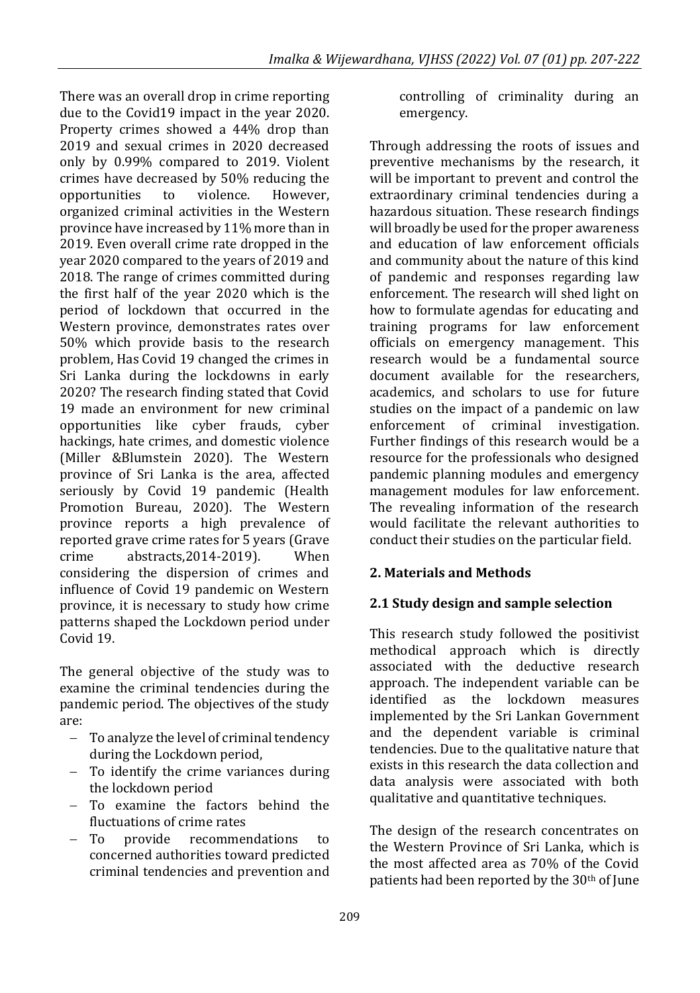There was an overall drop in crime reporting due to the Covid19 impact in the year 2020. Property crimes showed a 44% drop than 2019 and sexual crimes in 2020 decreased only by 0.99% compared to 2019. Violent crimes have decreased by 50% reducing the opportunities to violence. However, organized criminal activities in the Western province have increased by 11% more than in 2019. Even overall crime rate dropped in the year 2020 compared to the years of 2019 and 2018. The range of crimes committed during the first half of the year 2020 which is the period of lockdown that occurred in the Western province, demonstrates rates over 50% which provide basis to the research problem, Has Covid 19 changed the crimes in Sri Lanka during the lockdowns in early 2020? The research finding stated that Covid 19 made an environment for new criminal opportunities like cyber frauds, cyber hackings, hate crimes, and domestic violence (Miller &Blumstein 2020). The Western province of Sri Lanka is the area, affected seriously by Covid 19 pandemic (Health Promotion Bureau, 2020). The Western province reports a high prevalence of reported grave crime rates for 5 years (Grave crime abstracts,2014-2019). When considering the dispersion of crimes and influence of Covid 19 pandemic on Western province, it is necessary to study how crime patterns shaped the Lockdown period under Covid 19.

The general objective of the study was to examine the criminal tendencies during the pandemic period. The objectives of the study are:

- − To analyze the level of criminal tendency during the Lockdown period,
- − To identify the crime variances during the lockdown period
- − To examine the factors behind the fluctuations of crime rates
- − To provide recommendations to concerned authorities toward predicted criminal tendencies and prevention and

controlling of criminality during an emergency.

Through addressing the roots of issues and preventive mechanisms by the research, it will be important to prevent and control the extraordinary criminal tendencies during a hazardous situation. These research findings will broadly be used for the proper awareness and education of law enforcement officials and community about the nature of this kind of pandemic and responses regarding law enforcement. The research will shed light on how to formulate agendas for educating and training programs for law enforcement officials on emergency management. This research would be a fundamental source document available for the researchers, academics, and scholars to use for future studies on the impact of a pandemic on law enforcement of criminal investigation. Further findings of this research would be a resource for the professionals who designed pandemic planning modules and emergency management modules for law enforcement. The revealing information of the research would facilitate the relevant authorities to conduct their studies on the particular field.

## **2. Materials and Methods**

## **2.1 Study design and sample selection**

This research study followed the positivist methodical approach which is directly associated with the deductive research approach. The independent variable can be identified as the lockdown measures implemented by the Sri Lankan Government and the dependent variable is criminal tendencies. Due to the qualitative nature that exists in this research the data collection and data analysis were associated with both qualitative and quantitative techniques.

The design of the research concentrates on the Western Province of Sri Lanka, which is the most affected area as 70% of the Covid patients had been reported by the 30<sup>th</sup> of June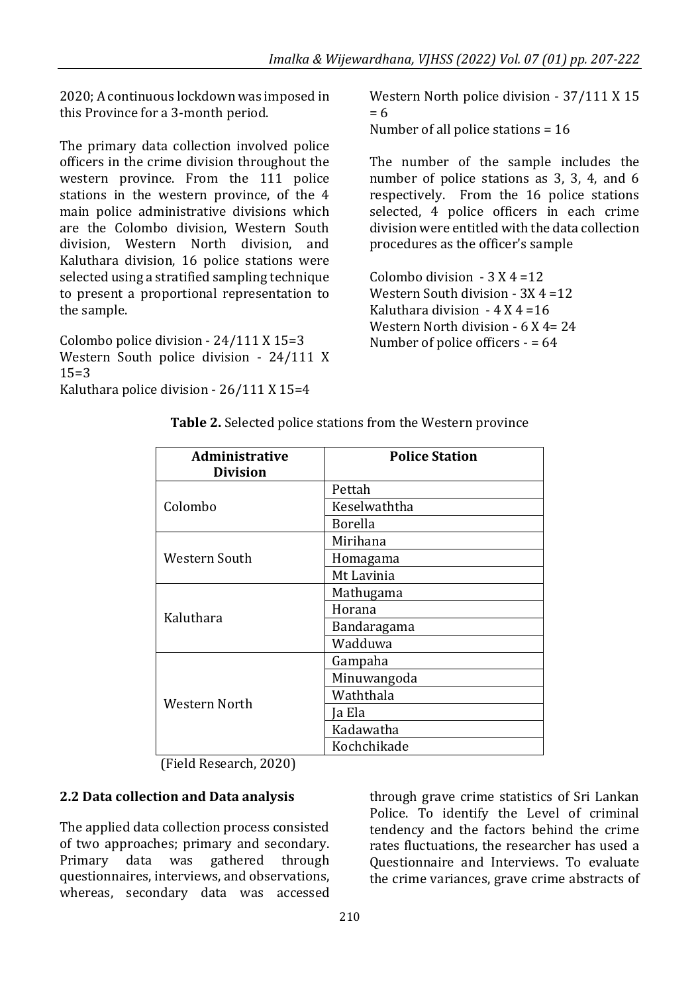2020; A continuous lockdown was imposed in this Province for a 3-month period.

The primary data collection involved police officers in the crime division throughout the western province. From the 111 police stations in the western province, of the 4 main police administrative divisions which are the Colombo division, Western South division, Western North division, and Kaluthara division, 16 police stations were selected using a stratified sampling technique to present a proportional representation to the sample.

Colombo police division - 24/111 X 15=3 Western South police division - 24/111 X 15=3

Kaluthara police division - 26/111 X 15=4

Western North police division - 37/111 X 15 = 6 Number of all police stations = 16

The number of the sample includes the number of police stations as 3, 3, 4, and 6 respectively. From the 16 police stations selected, 4 police officers in each crime division were entitled with the data collection procedures as the officer's sample

Colombo division  $-3 X 4 = 12$ Western South division - 3X 4 =12 Kaluthara division  $-4$  X 4 = 16 Western North division - 6 X 4= 24 Number of police officers - = 64

| <b>Administrative</b><br><b>Division</b> | <b>Police Station</b> |  |  |
|------------------------------------------|-----------------------|--|--|
|                                          |                       |  |  |
|                                          | Pettah                |  |  |
| Colombo                                  | Keselwaththa          |  |  |
|                                          | <b>Borella</b>        |  |  |
|                                          | Mirihana              |  |  |
| Western South                            | Homagama              |  |  |
|                                          | Mt Lavinia            |  |  |
|                                          | Mathugama             |  |  |
| Kaluthara                                | Horana                |  |  |
|                                          | Bandaragama           |  |  |
|                                          | Wadduwa               |  |  |
|                                          | Gampaha               |  |  |
|                                          | Minuwangoda           |  |  |
| Western North                            | Waththala             |  |  |
|                                          | Ja Ela                |  |  |
|                                          | Kadawatha             |  |  |
|                                          | Kochchikade           |  |  |

**Table 2.** Selected police stations from the Western province

(Field Research, 2020)

#### **2.2 Data collection and Data analysis**

The applied data collection process consisted of two approaches; primary and secondary. Primary data was gathered through questionnaires, interviews, and observations, whereas, secondary data was accessed

through grave crime statistics of Sri Lankan Police. To identify the Level of criminal tendency and the factors behind the crime rates fluctuations, the researcher has used a Questionnaire and Interviews. To evaluate the crime variances, grave crime abstracts of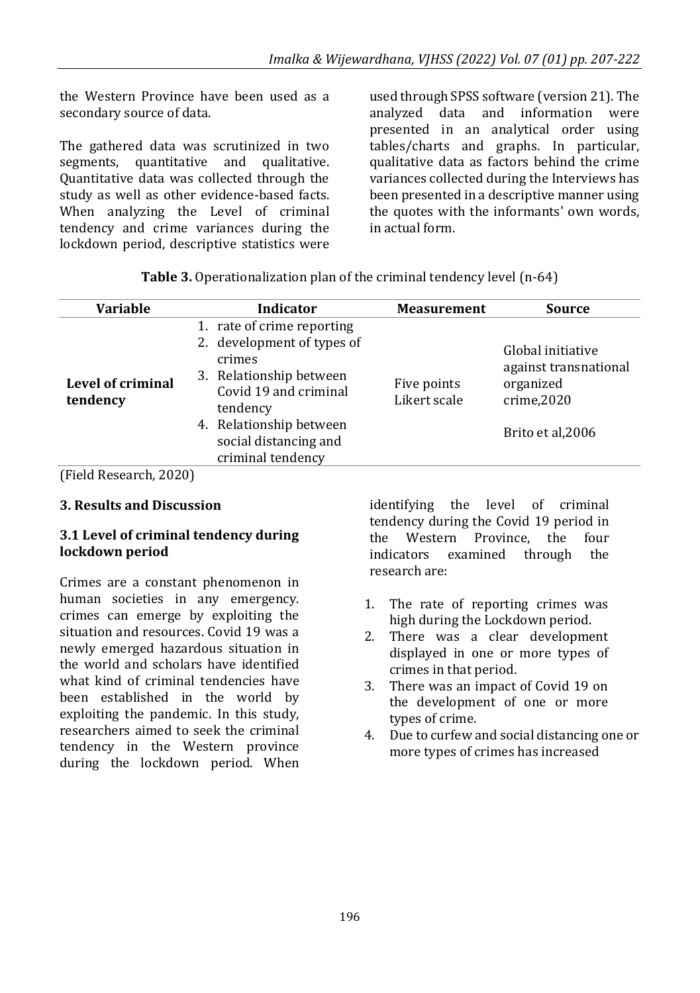the Western Province have been used as a secondary source of data.

The gathered data was scrutinized in two segments, quantitative and qualitative. Quantitative data was collected through the study as well as other evidence-based facts. When analyzing the Level of criminal tendency and crime variances during the lockdown period, descriptive statistics were

used through SPSS software (version 21). The analyzed data and information were presented in an analytical order using tables/charts and graphs. In particular, qualitative data as factors behind the crime variances collected during the Interviews has been presented in a descriptive manner using the quotes with the informants' own words, in actual form.

| Table 3. Operationalization plan of the criminal tendency level (n-64) |  |  |  |
|------------------------------------------------------------------------|--|--|--|
|                                                                        |  |  |  |

| <b>Variable</b>               | Indicator                                                                                                                                                                                                   | <b>Measurement</b>          | <b>Source</b>                                                                               |
|-------------------------------|-------------------------------------------------------------------------------------------------------------------------------------------------------------------------------------------------------------|-----------------------------|---------------------------------------------------------------------------------------------|
| Level of criminal<br>tendency | 1. rate of crime reporting<br>2. development of types of<br>crimes<br>3. Relationship between<br>Covid 19 and criminal<br>tendency<br>4. Relationship between<br>social distancing and<br>criminal tendency | Five points<br>Likert scale | Global initiative<br>against transnational<br>organized<br>crime, 2020<br>Brito et al, 2006 |

(Field Research, 2020)

#### **3. Results and Discussion**

#### **3.1 Level of criminal tendency during lockdown period**

Crimes are a constant phenomenon in human societies in any emergency. crimes can emerge by exploiting the situation and resources. Covid 19 was a newly emerged hazardous situation in the world and scholars have identified what kind of criminal tendencies have been established in the world by exploiting the pandemic. In this study, researchers aimed to seek the criminal tendency in the Western province during the lockdown period. When identifying the level of criminal tendency during the Covid 19 period in the Western Province, the four indicators examined through the research are:

- 1. The rate of reporting crimes was high during the Lockdown period.
- 2. There was a clear development displayed in one or more types of crimes in that period.
- 3. There was an impact of Covid 19 on the development of one or more types of crime.
- 4. Due to curfew and social distancing one or more types of crimes has increased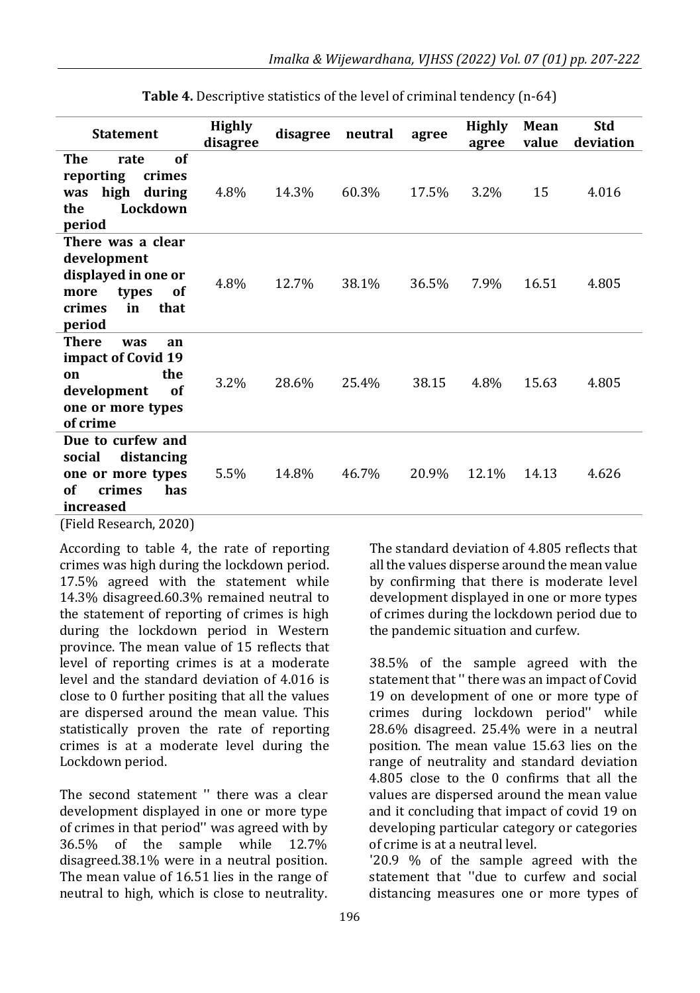| <b>Statement</b>                                                                                                          | <b>Highly</b><br>disagree | disagree | neutral | agree | <b>Highly</b><br>agree | Mean<br>value | <b>Std</b><br>deviation |
|---------------------------------------------------------------------------------------------------------------------------|---------------------------|----------|---------|-------|------------------------|---------------|-------------------------|
| The<br>of<br>rate<br>reporting<br>crimes<br>high during<br>was<br>Lockdown<br>the<br>period                               | 4.8%                      | 14.3%    | 60.3%   | 17.5% | 3.2%                   | 15            | 4.016                   |
| There was a clear<br>development<br>displayed in one or<br>more<br>types<br>0f<br>in<br>that<br>crimes<br>period          | 4.8%                      | 12.7%    | 38.1%   | 36.5% | 7.9%                   | 16.51         | 4.805                   |
| <b>There</b><br>was<br>an<br>impact of Covid 19<br>the<br>on<br>development<br><b>of</b><br>one or more types<br>of crime | 3.2%                      | 28.6%    | 25.4%   | 38.15 | 4.8%                   | 15.63         | 4.805                   |
| Due to curfew and<br>distancing<br>social<br>one or more types<br>of<br>crimes<br>has<br>increased                        | 5.5%                      | 14.8%    | 46.7%   | 20.9% | 12.1%                  | 14.13         | 4.626                   |

**Table 4.** Descriptive statistics of the level of criminal tendency (n-64)

(Field Research, 2020)

According to table 4, the rate of reporting crimes was high during the lockdown period. 17.5% agreed with the statement while 14.3% disagreed.60.3% remained neutral to the statement of reporting of crimes is high during the lockdown period in Western province. The mean value of 15 reflects that level of reporting crimes is at a moderate level and the standard deviation of 4.016 is close to 0 further positing that all the values are dispersed around the mean value. This statistically proven the rate of reporting crimes is at a moderate level during the Lockdown period.

The second statement '' there was a clear development displayed in one or more type of crimes in that period'' was agreed with by 36.5% of the sample while 12.7% disagreed.38.1% were in a neutral position. The mean value of 16.51 lies in the range of neutral to high, which is close to neutrality. 19 on development of one or more type of crimes during lockdown period'' while 28.6% disagreed. 25.4% were in a neutral position. The mean value 15.63 lies on the range of neutrality and standard deviation

the pandemic situation and curfew.

4.805 close to the 0 confirms that all the values are dispersed around the mean value and it concluding that impact of covid 19 on developing particular category or categories of crime is at a neutral level.

The standard deviation of 4.805 reflects that all the values disperse around the mean value by confirming that there is moderate level development displayed in one or more types of crimes during the lockdown period due to

38.5% of the sample agreed with the statement that '' there was an impact of Covid

'20.9 % of the sample agreed with the statement that ''due to curfew and social distancing measures one or more types of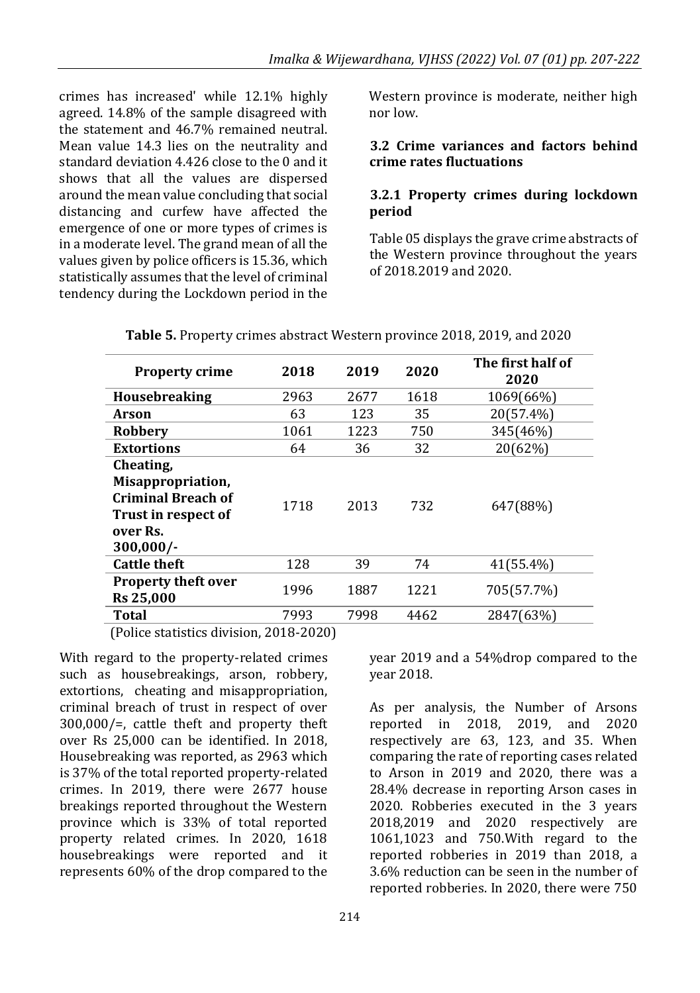crimes has increased' while 12.1% highly agreed. 14.8% of the sample disagreed with the statement and 46.7% remained neutral. Mean value 14.3 lies on the neutrality and standard deviation 4.426 close to the 0 and it shows that all the values are dispersed around the mean value concluding that social distancing and curfew have affected the emergence of one or more types of crimes is in a moderate level. The grand mean of all the values given by police officers is 15.36, which statistically assumes that the level of criminal tendency during the Lockdown period in the

Western province is moderate, neither high nor low.

#### **3.2 Crime variances and factors behind crime rates fluctuations**

#### **3.2.1 Property crimes during lockdown period**

Table 05 displays the grave crime abstracts of the Western province throughout the years of 2018.2019 and 2020.

| <b>Property crime</b>                                                                                         | 2018 | 2019 | 2020 | The first half of<br>2020 |
|---------------------------------------------------------------------------------------------------------------|------|------|------|---------------------------|
| <b>Housebreaking</b>                                                                                          | 2963 | 2677 | 1618 | 1069(66%)                 |
| Arson                                                                                                         | 63   | 123  | 35   | 20(57.4%)                 |
| Robbery                                                                                                       | 1061 | 1223 | 750  | 345(46%)                  |
| <b>Extortions</b>                                                                                             | 64   | 36   | 32   | 20(62%)                   |
| Cheating,<br>Misappropriation,<br><b>Criminal Breach of</b><br>Trust in respect of<br>over Rs.<br>$300,000/-$ | 1718 | 2013 | 732  | 647(88%)                  |
| <b>Cattle theft</b>                                                                                           | 128  | 39   | 74   | 41(55.4%)                 |
| <b>Property theft over</b><br><b>Rs 25,000</b>                                                                | 1996 | 1887 | 1221 | 705(57.7%)                |
| <b>Total</b>                                                                                                  | 7993 | 7998 | 4462 | 2847(63%)                 |

**Table 5.** Property crimes abstract Western province 2018, 2019, and 2020

(Police statistics division, 2018-2020)

With regard to the property-related crimes such as housebreakings, arson, robbery, extortions, cheating and misappropriation, criminal breach of trust in respect of over 300,000/=, cattle theft and property theft over Rs 25,000 can be identified. In 2018, Housebreaking was reported, as 2963 which is 37% of the total reported property-related crimes. In 2019, there were 2677 house breakings reported throughout the Western province which is 33% of total reported property related crimes. In 2020, 1618 housebreakings were reported and it represents 60% of the drop compared to the

year 2019 and a 54%drop compared to the year 2018.

As per analysis, the Number of Arsons reported in 2018, 2019, and 2020 respectively are 63, 123, and 35. When comparing the rate of reporting cases related to Arson in 2019 and 2020, there was a 28.4% decrease in reporting Arson cases in 2020. Robberies executed in the 3 years 2018,2019 and 2020 respectively are 1061,1023 and 750.With regard to the reported robberies in 2019 than 2018, a 3.6% reduction can be seen in the number of reported robberies. In 2020, there were 750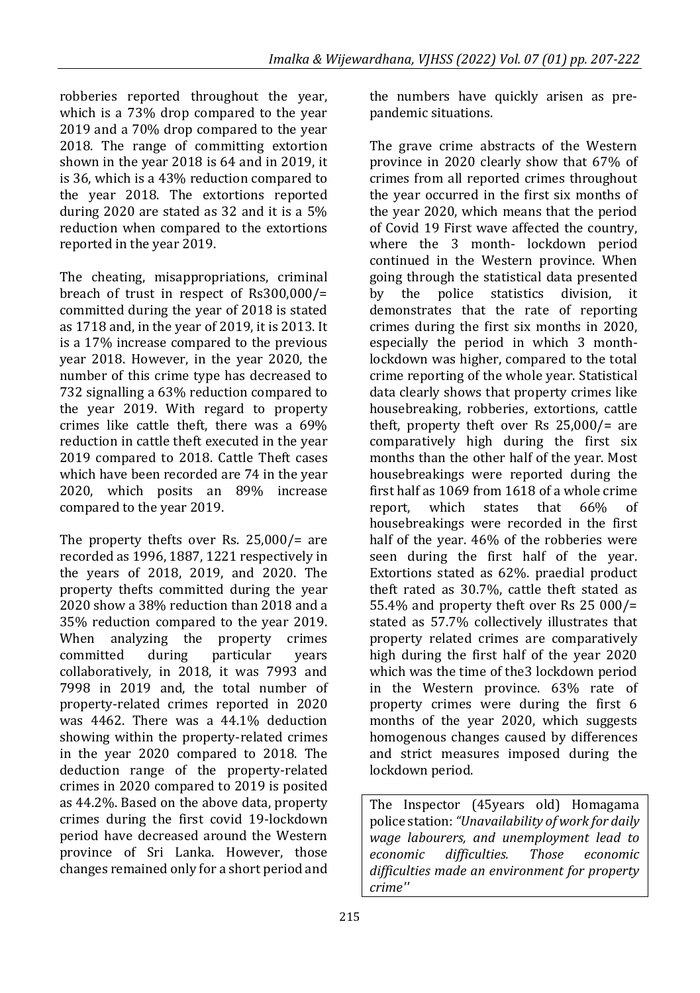robberies reported throughout the year, which is a 73% drop compared to the year 2019 and a 70% drop compared to the year 2018. The range of committing extortion shown in the year 2018 is 64 and in 2019, it is 36, which is a 43% reduction compared to the year 2018. The extortions reported during 2020 are stated as 32 and it is a 5% reduction when compared to the extortions reported in the year 2019.

The cheating, misappropriations, criminal breach of trust in respect of Rs300,000/= committed during the year of 2018 is stated as 1718 and, in the year of 2019, it is 2013. It is a 17% increase compared to the previous year 2018. However, in the year 2020, the number of this crime type has decreased to 732 signalling a 63% reduction compared to the year 2019. With regard to property crimes like cattle theft, there was a 69% reduction in cattle theft executed in the year 2019 compared to 2018. Cattle Theft cases which have been recorded are 74 in the year 2020, which posits an 89% increase compared to the year 2019.

The property thefts over Rs. 25,000/= are recorded as 1996, 1887, 1221 respectively in the years of 2018, 2019, and 2020. The property thefts committed during the year 2020 show a 38% reduction than 2018 and a 35% reduction compared to the year 2019. When analyzing the property crimes committed during particular years collaboratively, in 2018, it was 7993 and 7998 in 2019 and, the total number of property-related crimes reported in 2020 was 4462. There was a 44.1% deduction showing within the property-related crimes in the year 2020 compared to 2018. The deduction range of the property-related crimes in 2020 compared to 2019 is posited as 44.2%. Based on the above data, property crimes during the first covid 19-lockdown period have decreased around the Western province of Sri Lanka. However, those changes remained only for a short period and

the numbers have quickly arisen as prepandemic situations.

The grave crime abstracts of the Western province in 2020 clearly show that 67% of crimes from all reported crimes throughout the year occurred in the first six months of the year 2020, which means that the period of Covid 19 First wave affected the country, where the 3 month- lockdown period continued in the Western province. When going through the statistical data presented by the police statistics division, it demonstrates that the rate of reporting crimes during the first six months in 2020, especially the period in which 3 monthlockdown was higher, compared to the total crime reporting of the whole year. Statistical data clearly shows that property crimes like housebreaking, robberies, extortions, cattle theft, property theft over Rs 25,000/= are comparatively high during the first six months than the other half of the year. Most housebreakings were reported during the first half as 1069 from 1618 of a whole crime report, which states that 66% of housebreakings were recorded in the first half of the year. 46% of the robberies were seen during the first half of the year. Extortions stated as 62%. praedial product theft rated as 30.7%, cattle theft stated as 55.4% and property theft over Rs 25 000/= stated as 57.7% collectively illustrates that property related crimes are comparatively high during the first half of the year 2020 which was the time of the3 lockdown period in the Western province. 63% rate of property crimes were during the first 6 months of the year 2020, which suggests homogenous changes caused by differences and strict measures imposed during the lockdown period.

The Inspector (45years old) Homagama police station: *"Unavailability of work for daily wage labourers, and unemployment lead to economic difficulties. Those economic difficulties made an environment for property crime''*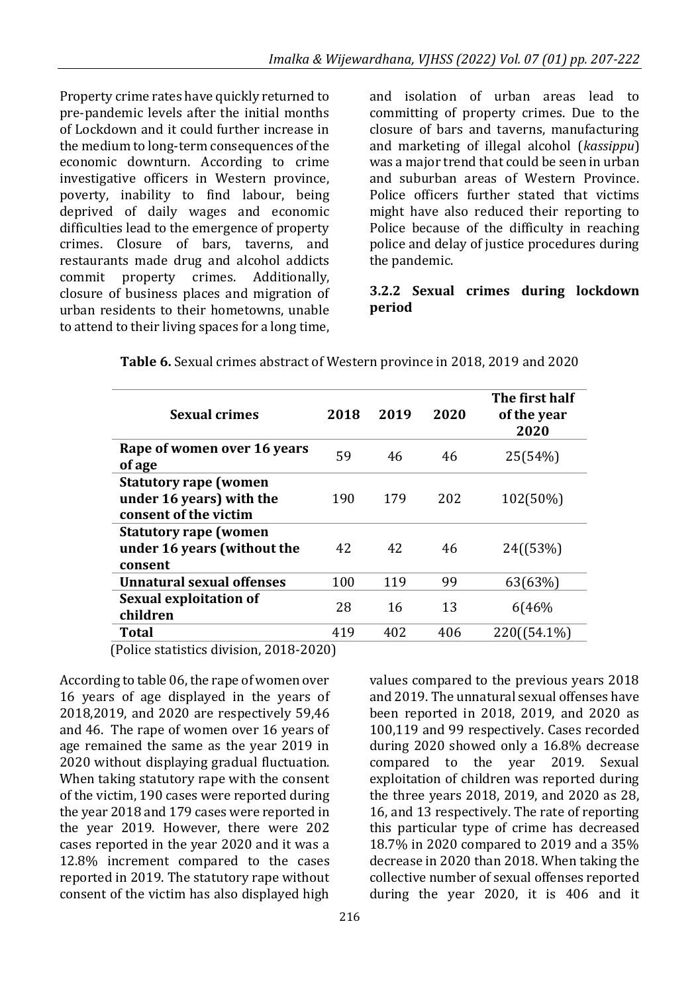Property crime rates have quickly returned to pre-pandemic levels after the initial months of Lockdown and it could further increase in the medium to long-term consequences of the economic downturn. According to crime investigative officers in Western province, poverty, inability to find labour, being deprived of daily wages and economic difficulties lead to the emergence of property crimes. Closure of bars, taverns, and restaurants made drug and alcohol addicts commit property crimes. Additionally, closure of business places and migration of urban residents to their hometowns, unable to attend to their living spaces for a long time,

and isolation of urban areas lead to committing of property crimes. Due to the closure of bars and taverns, manufacturing and marketing of illegal alcohol (*kassippu*) was a major trend that could be seen in urban and suburban areas of Western Province. Police officers further stated that victims might have also reduced their reporting to Police because of the difficulty in reaching police and delay of justice procedures during the pandemic.

#### **3.2.2 Sexual crimes during lockdown period**

| <b>Sexual crimes</b>                                                              | 2018 | 2019 | 2020 | The first half<br>of the year<br>2020 |
|-----------------------------------------------------------------------------------|------|------|------|---------------------------------------|
| Rape of women over 16 years<br>of age                                             | 59   | 46   | 46   | 25(54%)                               |
| <b>Statutory rape (women</b><br>under 16 years) with the<br>consent of the victim | 190  | 179  | 202  | 102(50%)                              |
| <b>Statutory rape (women</b><br>under 16 years (without the<br>consent            | 42   | 42   | 46   | $24([53\%)]$                          |
| Unnatural sexual offenses                                                         | 100  | 119  | 99   | 63(63%)                               |
| Sexual exploitation of<br>children                                                | 28   | 16   | 13   | 6(46%                                 |
| Total                                                                             | 419  | 402  | 406  | 220((54.1%)                           |

| Table 6. Sexual crimes abstract of Western province in 2018, 2019 and 2020 |  |  |  |
|----------------------------------------------------------------------------|--|--|--|

(Police statistics division, 2018-2020)

According to table 06, the rape of women over 16 years of age displayed in the years of 2018,2019, and 2020 are respectively 59,46 and 46. The rape of women over 16 years of age remained the same as the year 2019 in 2020 without displaying gradual fluctuation. When taking statutory rape with the consent of the victim, 190 cases were reported during the year 2018 and 179 cases were reported in the year 2019. However, there were 202 cases reported in the year 2020 and it was a 12.8% increment compared to the cases reported in 2019. The statutory rape without consent of the victim has also displayed high

values compared to the previous years 2018 and 2019. The unnatural sexual offenses have been reported in 2018, 2019, and 2020 as 100,119 and 99 respectively. Cases recorded during 2020 showed only a 16.8% decrease compared to the year 2019. Sexual exploitation of children was reported during the three years 2018, 2019, and 2020 as 28, 16, and 13 respectively. The rate of reporting this particular type of crime has decreased 18.7% in 2020 compared to 2019 and a 35% decrease in 2020 than 2018. When taking the collective number of sexual offenses reported during the year 2020, it is 406 and it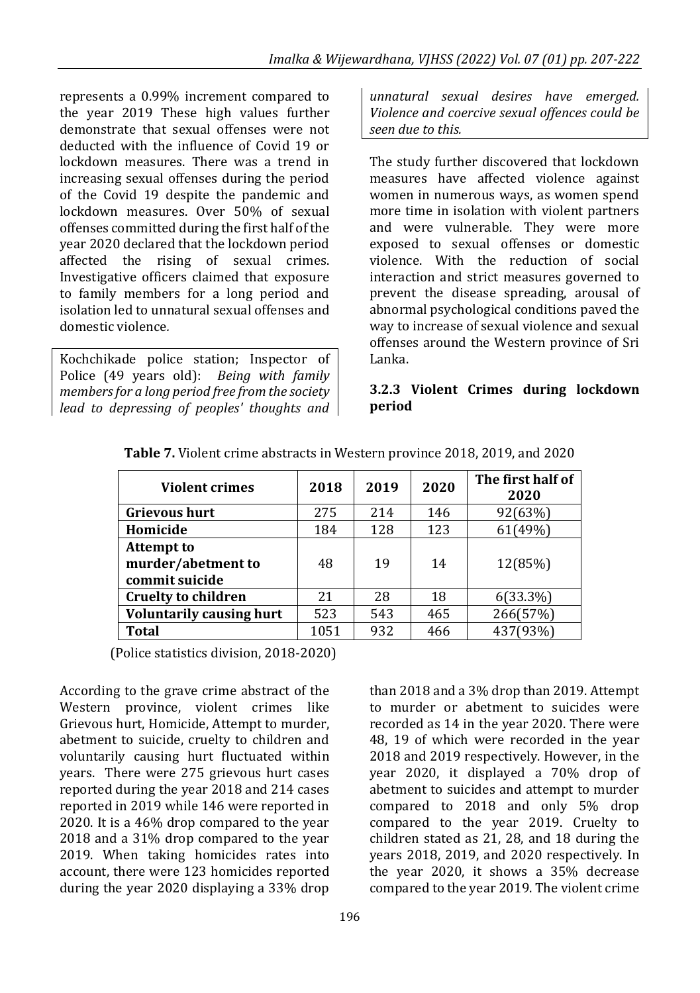represents a 0.99% increment compared to the year 2019 These high values further demonstrate that sexual offenses were not deducted with the influence of Covid 19 or lockdown measures. There was a trend in increasing sexual offenses during the period of the Covid 19 despite the pandemic and lockdown measures. Over 50% of sexual offenses committed during the first half of the year 2020 declared that the lockdown period affected the rising of sexual crimes. Investigative officers claimed that exposure to family members for a long period and isolation led to unnatural sexual offenses and domestic violence*.*

Kochchikade police station; Inspector of Police (49 years old): *Being with family members for a long period free from the society lead to depressing of peoples' thoughts and*  *unnatural sexual desires have emerged. Violence and coercive sexual offences could be seen due to this.*

The study further discovered that lockdown measures have affected violence against women in numerous ways, as women spend more time in isolation with violent partners and were vulnerable. They were more exposed to sexual offenses or domestic violence. With the reduction of social interaction and strict measures governed to prevent the disease spreading, arousal of abnormal psychological conditions paved the way to increase of sexual violence and sexual offenses around the Western province of Sri Lanka.

#### **3.2.3 Violent Crimes during lockdown period**

| <b>Violent crimes</b>                                     | 2018 | 2019 | 2020 | The first half of<br>2020 |
|-----------------------------------------------------------|------|------|------|---------------------------|
| <b>Grievous hurt</b>                                      | 275  | 214  | 146  | 92(63%)                   |
| Homicide                                                  | 184  | 128  | 123  | 61(49%)                   |
| <b>Attempt to</b><br>murder/abetment to<br>commit suicide | 48   | 19   | 14   | 12(85%)                   |
| <b>Cruelty to children</b>                                | 21   | 28   | 18   | $6(33.3\%)$               |
| <b>Voluntarily causing hurt</b>                           | 523  | 543  | 465  | 266(57%)                  |
| <b>Total</b>                                              | 1051 | 932  | 466  | 437(93%)                  |

**Table 7.** Violent crime abstracts in Western province 2018, 2019, and 2020

(Police statistics division, 2018-2020)

According to the grave crime abstract of the Western province, violent crimes like Grievous hurt, Homicide, Attempt to murder, abetment to suicide, cruelty to children and voluntarily causing hurt fluctuated within years. There were 275 grievous hurt cases reported during the year 2018 and 214 cases reported in 2019 while 146 were reported in 2020. It is a 46% drop compared to the year 2018 and a 31% drop compared to the year 2019. When taking homicides rates into account, there were 123 homicides reported during the year 2020 displaying a 33% drop

than 2018 and a 3% drop than 2019. Attempt to murder or abetment to suicides were recorded as 14 in the year 2020. There were 48, 19 of which were recorded in the year 2018 and 2019 respectively. However, in the year 2020, it displayed a 70% drop of abetment to suicides and attempt to murder compared to 2018 and only 5% drop compared to the year 2019. Cruelty to children stated as 21, 28, and 18 during the years 2018, 2019, and 2020 respectively. In the year 2020, it shows a 35% decrease compared to the year 2019. The violent crime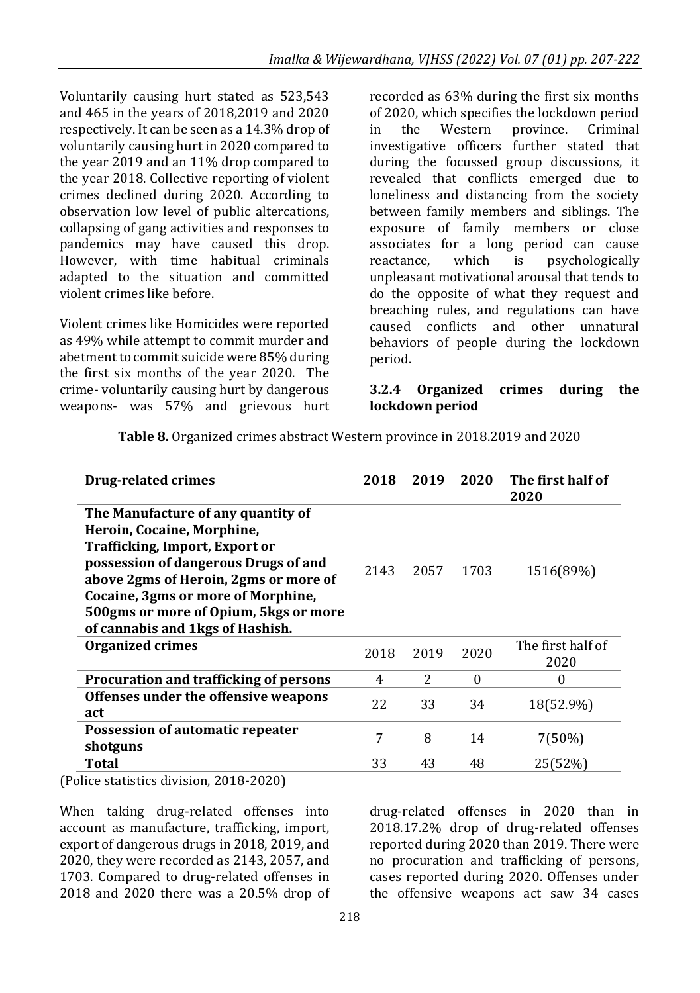Voluntarily causing hurt stated as 523,543 and 465 in the years of 2018,2019 and 2020 respectively. It can be seen as a 14.3% drop of voluntarily causing hurt in 2020 compared to the year 2019 and an 11% drop compared to the year 2018. Collective reporting of violent crimes declined during 2020. According to observation low level of public altercations, collapsing of gang activities and responses to pandemics may have caused this drop. However, with time habitual criminals adapted to the situation and committed violent crimes like before.

Violent crimes like Homicides were reported as 49% while attempt to commit murder and abetment to commit suicide were 85% during the first six months of the year 2020. The crime- voluntarily causing hurt by dangerous weapons- was 57% and grievous hurt

recorded as 63% during the first six months of 2020, which specifies the lockdown period in the Western province. Criminal investigative officers further stated that during the focussed group discussions, it revealed that conflicts emerged due to loneliness and distancing from the society between family members and siblings. The exposure of family members or close associates for a long period can cause reactance, which is psychologically unpleasant motivational arousal that tends to do the opposite of what they request and breaching rules, and regulations can have caused conflicts and other unnatural behaviors of people during the lockdown period.

#### **3.2.4 Organized crimes during the lockdown period**

| <b>Drug-related crimes</b>                                                                                                                                                                                                                                                                                           | 2018 | 2019 | 2020     | The first half of<br>2020 |
|----------------------------------------------------------------------------------------------------------------------------------------------------------------------------------------------------------------------------------------------------------------------------------------------------------------------|------|------|----------|---------------------------|
| The Manufacture of any quantity of<br>Heroin, Cocaine, Morphine,<br><b>Trafficking, Import, Export or</b><br>possession of dangerous Drugs of and<br>above 2gms of Heroin, 2gms or more of<br><b>Cocaine, 3gms or more of Morphine,</b><br>500gms or more of Opium, 5kgs or more<br>of cannabis and 1kgs of Hashish. | 2143 | 2057 | 1703     | 1516(89%)                 |
| <b>Organized crimes</b>                                                                                                                                                                                                                                                                                              | 2018 | 2019 | 2020     | The first half of<br>2020 |
| Procuration and trafficking of persons                                                                                                                                                                                                                                                                               | 4    | 2    | $\Omega$ | 0                         |
| Offenses under the offensive weapons<br>act                                                                                                                                                                                                                                                                          | 22   | 33   | 34       | 18(52.9%)                 |
| Possession of automatic repeater<br>shotguns                                                                                                                                                                                                                                                                         | 7    | 8    | 14       | 7(50%)                    |
| Total<br>.<br>0.0100000                                                                                                                                                                                                                                                                                              | 33   | 43   | 48       | 25(52%)                   |

**Table 8.** Organized crimes abstract Western province in 2018.2019 and 2020

(Police statistics division, 2018-2020)

When taking drug-related offenses into account as manufacture, trafficking, import, export of dangerous drugs in 2018, 2019, and 2020, they were recorded as 2143, 2057, and 1703. Compared to drug-related offenses in 2018 and 2020 there was a 20.5% drop of drug-related offenses in 2020 than in 2018.17.2% drop of drug-related offenses reported during 2020 than 2019. There were no procuration and trafficking of persons, cases reported during 2020. Offenses under the offensive weapons act saw 34 cases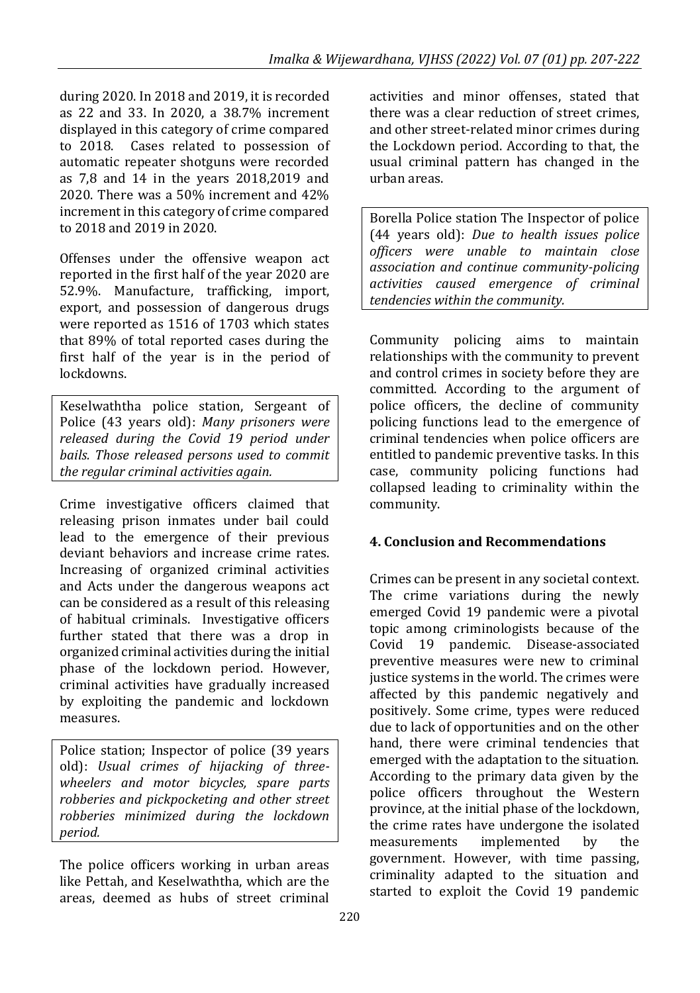during 2020. In 2018 and 2019, it is recorded as 22 and 33. In 2020, a 38.7% increment displayed in this category of crime compared to 2018. Cases related to possession of automatic repeater shotguns were recorded as 7,8 and 14 in the years 2018,2019 and 2020. There was a 50% increment and 42% increment in this category of crime compared to 2018 and 2019 in 2020.

Offenses under the offensive weapon act reported in the first half of the year 2020 are 52.9%. Manufacture, trafficking, import, export, and possession of dangerous drugs were reported as 1516 of 1703 which states that 89% of total reported cases during the first half of the year is in the period of lockdowns.

Keselwaththa police station, Sergeant of Police (43 years old): *Many prisoners were released during the Covid 19 period under bails. Those released persons used to commit the regular criminal activities again.*

Crime investigative officers claimed that releasing prison inmates under bail could lead to the emergence of their previous deviant behaviors and increase crime rates. Increasing of organized criminal activities and Acts under the dangerous weapons act can be considered as a result of this releasing of habitual criminals. Investigative officers further stated that there was a drop in organized criminal activities during the initial phase of the lockdown period. However, criminal activities have gradually increased by exploiting the pandemic and lockdown measures.

Police station; Inspector of police (39 years old): *Usual crimes of hijacking of threewheelers and motor bicycles, spare parts robberies and pickpocketing and other street robberies minimized during the lockdown period.*

The police officers working in urban areas like Pettah, and Keselwaththa, which are the areas, deemed as hubs of street criminal activities and minor offenses, stated that there was a clear reduction of street crimes, and other street-related minor crimes during the Lockdown period. According to that, the usual criminal pattern has changed in the urban areas.

Borella Police station The Inspector of police (44 years old): *Due to health issues police officers were unable to maintain close association and continue community-policing activities caused emergence of criminal tendencies within the community.*

Community policing aims to maintain relationships with the community to prevent and control crimes in society before they are committed. According to the argument of police officers, the decline of community policing functions lead to the emergence of criminal tendencies when police officers are entitled to pandemic preventive tasks. In this case, community policing functions had collapsed leading to criminality within the community.

# **4. Conclusion and Recommendations**

Crimes can be present in any societal context. The crime variations during the newly emerged Covid 19 pandemic were a pivotal topic among criminologists because of the Covid 19 pandemic. Disease-associated preventive measures were new to criminal justice systems in the world. The crimes were affected by this pandemic negatively and positively. Some crime, types were reduced due to lack of opportunities and on the other hand, there were criminal tendencies that emerged with the adaptation to the situation. According to the primary data given by the police officers throughout the Western province, at the initial phase of the lockdown, the crime rates have undergone the isolated measurements implemented by the government. However, with time passing, criminality adapted to the situation and started to exploit the Covid 19 pandemic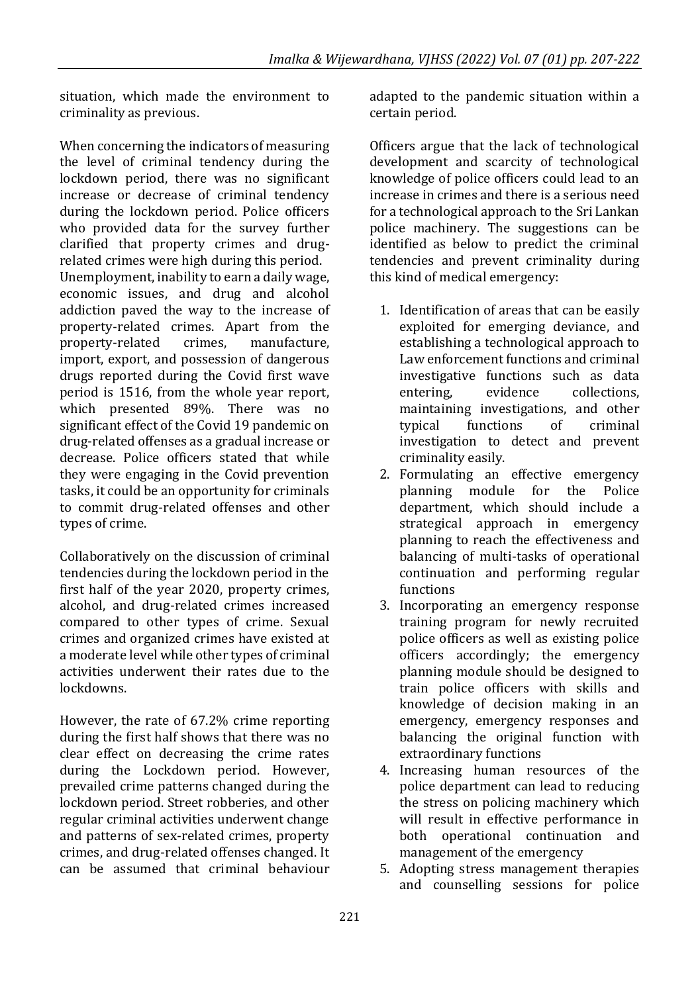situation, which made the environment to criminality as previous.

When concerning the indicators of measuring the level of criminal tendency during the lockdown period, there was no significant increase or decrease of criminal tendency during the lockdown period. Police officers who provided data for the survey further clarified that property crimes and drugrelated crimes were high during this period. Unemployment, inability to earn a daily wage, economic issues, and drug and alcohol addiction paved the way to the increase of property-related crimes. Apart from the property-related crimes, manufacture, import, export, and possession of dangerous drugs reported during the Covid first wave period is 1516, from the whole year report, which presented 89%. There was no significant effect of the Covid 19 pandemic on drug-related offenses as a gradual increase or decrease. Police officers stated that while they were engaging in the Covid prevention tasks, it could be an opportunity for criminals to commit drug-related offenses and other types of crime.

Collaboratively on the discussion of criminal tendencies during the lockdown period in the first half of the year 2020, property crimes, alcohol, and drug-related crimes increased compared to other types of crime. Sexual crimes and organized crimes have existed at a moderate level while other types of criminal activities underwent their rates due to the lockdowns.

However, the rate of 67.2% crime reporting during the first half shows that there was no clear effect on decreasing the crime rates during the Lockdown period. However, prevailed crime patterns changed during the lockdown period. Street robberies, and other regular criminal activities underwent change and patterns of sex-related crimes, property crimes, and drug-related offenses changed. It can be assumed that criminal behaviour

adapted to the pandemic situation within a certain period.

Officers argue that the lack of technological development and scarcity of technological knowledge of police officers could lead to an increase in crimes and there is a serious need for a technological approach to the Sri Lankan police machinery. The suggestions can be identified as below to predict the criminal tendencies and prevent criminality during this kind of medical emergency:

- 1. Identification of areas that can be easily exploited for emerging deviance, and establishing a technological approach to Law enforcement functions and criminal investigative functions such as data entering, evidence collections, maintaining investigations, and other typical functions of criminal investigation to detect and prevent criminality easily.
- 2. Formulating an effective emergency planning module for the Police department, which should include a strategical approach in emergency planning to reach the effectiveness and balancing of multi-tasks of operational continuation and performing regular functions
- 3. Incorporating an emergency response training program for newly recruited police officers as well as existing police officers accordingly; the emergency planning module should be designed to train police officers with skills and knowledge of decision making in an emergency, emergency responses and balancing the original function with extraordinary functions
- 4. Increasing human resources of the police department can lead to reducing the stress on policing machinery which will result in effective performance in both operational continuation and management of the emergency
- 5. Adopting stress management therapies and counselling sessions for police